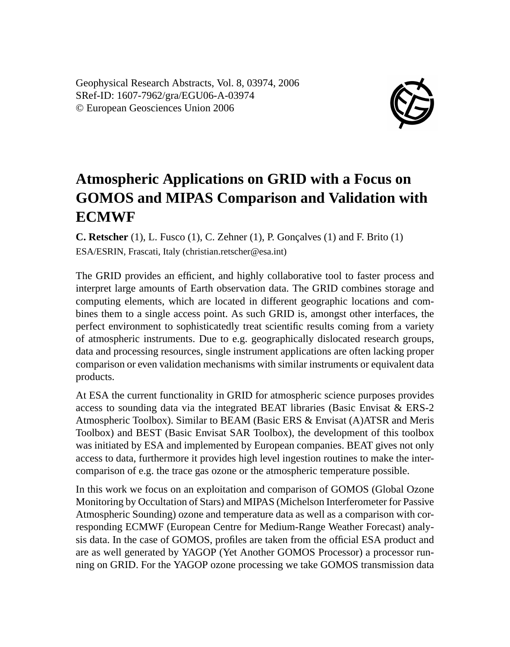Geophysical Research Abstracts, Vol. 8, 03974, 2006 SRef-ID: 1607-7962/gra/EGU06-A-03974 © European Geosciences Union 2006



## **Atmospheric Applications on GRID with a Focus on GOMOS and MIPAS Comparison and Validation with ECMWF**

**C. Retscher** (1), L. Fusco (1), C. Zehner (1), P. Gonçalves (1) and F. Brito (1) ESA/ESRIN, Frascati, Italy (christian.retscher@esa.int)

The GRID provides an efficient, and highly collaborative tool to faster process and interpret large amounts of Earth observation data. The GRID combines storage and computing elements, which are located in different geographic locations and combines them to a single access point. As such GRID is, amongst other interfaces, the perfect environment to sophisticatedly treat scientific results coming from a variety of atmospheric instruments. Due to e.g. geographically dislocated research groups, data and processing resources, single instrument applications are often lacking proper comparison or even validation mechanisms with similar instruments or equivalent data products.

At ESA the current functionality in GRID for atmospheric science purposes provides access to sounding data via the integrated BEAT libraries (Basic Envisat & ERS-2 Atmospheric Toolbox). Similar to BEAM (Basic ERS & Envisat (A)ATSR and Meris Toolbox) and BEST (Basic Envisat SAR Toolbox), the development of this toolbox was initiated by ESA and implemented by European companies. BEAT gives not only access to data, furthermore it provides high level ingestion routines to make the intercomparison of e.g. the trace gas ozone or the atmospheric temperature possible.

In this work we focus on an exploitation and comparison of GOMOS (Global Ozone Monitoring by Occultation of Stars) and MIPAS (Michelson Interferometer for Passive Atmospheric Sounding) ozone and temperature data as well as a comparison with corresponding ECMWF (European Centre for Medium-Range Weather Forecast) analysis data. In the case of GOMOS, profiles are taken from the official ESA product and are as well generated by YAGOP (Yet Another GOMOS Processor) a processor running on GRID. For the YAGOP ozone processing we take GOMOS transmission data